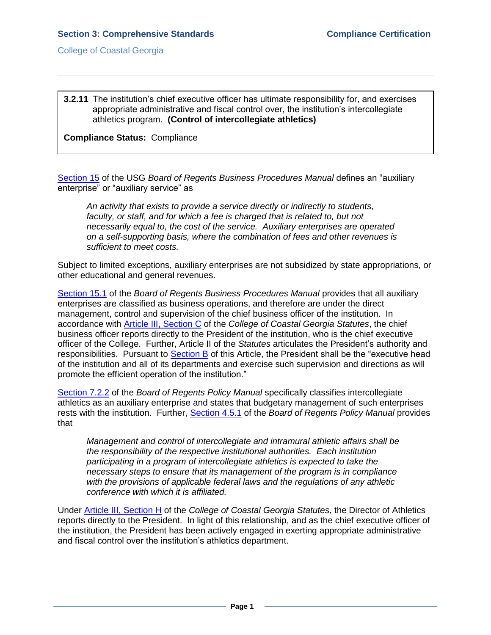College of Coastal Georgia

**3.2.11** The institution's chief executive officer has ultimate responsibility for, and exercises appropriate administrative and fiscal control over, the institution's intercollegiate athletics program. **(Control of intercollegiate athletics)**

**Compliance Status:** Compliance

[Section 15](3.2.11.aUSGBORbusinessproceduresmanual15.pdf#page=1) of the USG *Board of Regents Business Procedures Manual* defines an "auxiliary enterprise" or "auxiliary service" as

*An activity that exists to provide a service directly or indirectly to students,*  faculty, or staff, and for which a fee is charged that is related to, but not *necessarily equal to, the cost of the service. Auxiliary enterprises are operated on a self-supporting basis, where the combination of fees and other revenues is sufficient to meet costs.* 

Subject to limited exceptions, auxiliary enterprises are not subsidized by state appropriations, or other educational and general revenues.

[Section 15.1](3.2.11.bUSGBORbusinessproceduresmanual15.1.pdf#page=1) of the *Board of Regents Business Procedures Manual* provides that all auxiliary enterprises are classified as business operations, and therefore are under the direct management, control and supervision of the chief business officer of the institution. In accordance with [Article III, Section C](CCGAstatutes.pdf#page=11) of the *College of Coastal Georgia Statutes*, the chief business officer reports directly to the President of the institution, who is the chief executive officer of the College. Further, [Article II](file:///C:/Users/blemons/Downloads/SACS%20Reaffirmation/3.2.11/31%20College%20of%20Coastal%20Georgia%20Statutes.pdf) of the *Statutes* articulates the President's authority and responsibilities. Pursuant to [Section B](CCGAstatutes.pdf#page=7) of this Article, the President shall be the "executive head of the institution and all of its departments and exercise such supervision and directions as will promote the efficient operation of the institution."

[Section 7.2.2](3.2.11eUSGBORpolicymanual7.2.2.pdf#page=1) of the *Board of Regents Policy Manual* specifically classifies intercollegiate athletics as an auxiliary enterprise and states that budgetary management of such enterprises rests with the institution. Further, [Section 4.5.1](3.2.11.fUSGBORpolicymanual4.5.1.pdf#page=1) of the *Board of Regents Policy Manual* provides that

*Management and control of intercollegiate and intramural athletic affairs shall be the responsibility of the respective institutional authorities. Each institution participating in a program of intercollegiate athletics is expected to take the necessary steps to ensure that its management of the program is in compliance with the provisions of applicable federal laws and the regulations of any athletic conference with which it is affiliated.*

Under [Article III, Section H](CCGAstatutes.pdf#page=19) of the *College of Coastal Georgia Statutes*, the Director of Athletics reports directly to the President. In light of this relationship, and as the chief executive officer of the institution, the President has been actively engaged in exerting appropriate administrative and fiscal control over the institution's athletics department.